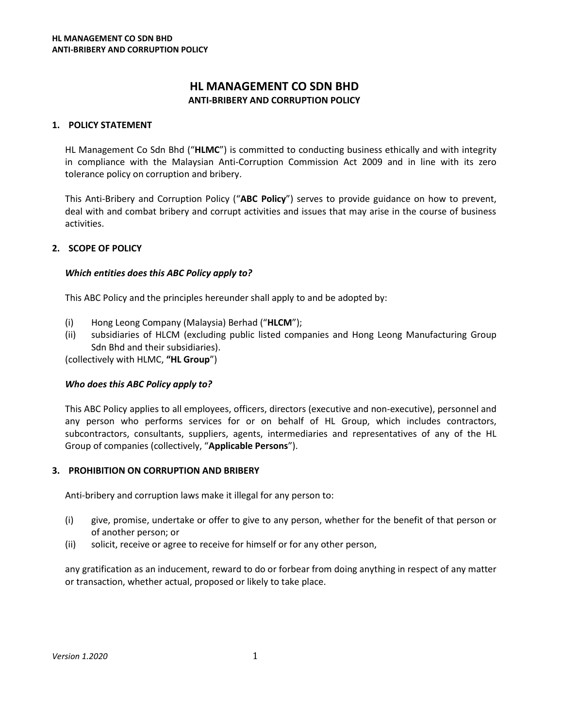# **HL MANAGEMENT CO SDN BHD ANTI-BRIBERY AND CORRUPTION POLICY**

# **1. POLICY STATEMENT**

HL Management Co Sdn Bhd ("**HLMC**") is committed to conducting business ethically and with integrity in compliance with the Malaysian Anti-Corruption Commission Act 2009 and in line with its zero tolerance policy on corruption and bribery.

This Anti-Bribery and Corruption Policy ("**ABC Policy**") serves to provide guidance on how to prevent, deal with and combat bribery and corrupt activities and issues that may arise in the course of business activities.

# **2. SCOPE OF POLICY**

### *Which entities does this ABC Policy apply to?*

This ABC Policy and the principles hereunder shall apply to and be adopted by:

- (i) Hong Leong Company (Malaysia) Berhad ("**HLCM**");
- (ii) subsidiaries of HLCM (excluding public listed companies and Hong Leong Manufacturing Group Sdn Bhd and their subsidiaries).

(collectively with HLMC, **"HL Group**")

#### *Who does this ABC Policy apply to?*

This ABC Policy applies to all employees, officers, directors (executive and non-executive), personnel and any person who performs services for or on behalf of HL Group, which includes contractors, subcontractors, consultants, suppliers, agents, intermediaries and representatives of any of the HL Group of companies (collectively, "**Applicable Persons**").

#### **3. PROHIBITION ON CORRUPTION AND BRIBERY**

Anti-bribery and corruption laws make it illegal for any person to:

- (i) give, promise, undertake or offer to give to any person, whether for the benefit of that person or of another person; or
- (ii) solicit, receive or agree to receive for himself or for any other person,

any gratification as an inducement, reward to do or forbear from doing anything in respect of any matter or transaction, whether actual, proposed or likely to take place.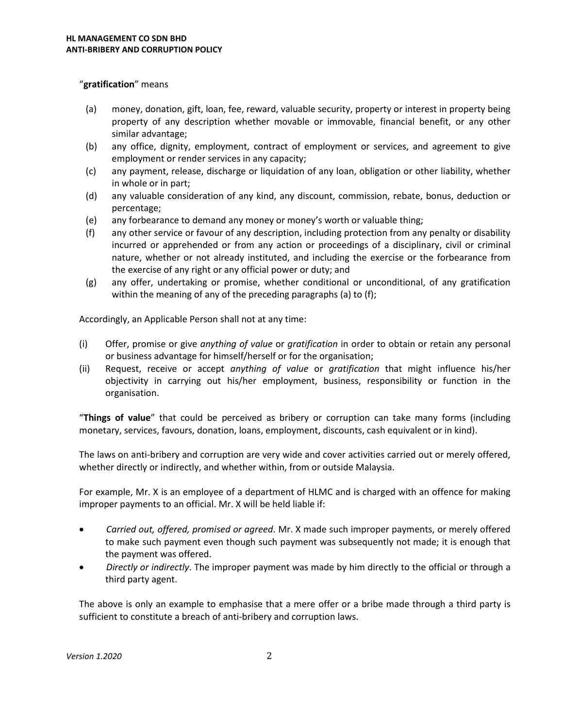### "**gratification**" means

- (a) money, donation, gift, loan, fee, reward, valuable security, property or interest in property being property of any description whether movable or immovable, financial benefit, or any other similar advantage;
- (b) any office, dignity, employment, contract of employment or services, and agreement to give employment or render services in any capacity;
- (c) any payment, release, discharge or liquidation of any loan, obligation or other liability, whether in whole or in part;
- (d) any valuable consideration of any kind, any discount, commission, rebate, bonus, deduction or percentage;
- (e) any forbearance to demand any money or money's worth or valuable thing;
- (f) any other service or favour of any description, including protection from any penalty or disability incurred or apprehended or from any action or proceedings of a disciplinary, civil or criminal nature, whether or not already instituted, and including the exercise or the forbearance from the exercise of any right or any official power or duty; and
- (g) any offer, undertaking or promise, whether conditional or unconditional, of any gratification within the meaning of any of the preceding paragraphs (a) to (f);

Accordingly, an Applicable Person shall not at any time:

- (i) Offer, promise or give *anything of value* or *gratification* in order to obtain or retain any personal or business advantage for himself/herself or for the organisation;
- (ii) Request, receive or accept *anything of value* or *gratification* that might influence his/her objectivity in carrying out his/her employment, business, responsibility or function in the organisation.

"**Things of value**" that could be perceived as bribery or corruption can take many forms (including monetary, services, favours, donation, loans, employment, discounts, cash equivalent or in kind).

The laws on anti-bribery and corruption are very wide and cover activities carried out or merely offered, whether directly or indirectly, and whether within, from or outside Malaysia.

For example, Mr. X is an employee of a department of HLMC and is charged with an offence for making improper payments to an official. Mr. X will be held liable if:

- *Carried out, offered, promised or agreed*. Mr. X made such improper payments, or merely offered to make such payment even though such payment was subsequently not made; it is enough that the payment was offered.
- *Directly or indirectly*. The improper payment was made by him directly to the official or through a third party agent.

The above is only an example to emphasise that a mere offer or a bribe made through a third party is sufficient to constitute a breach of anti-bribery and corruption laws.